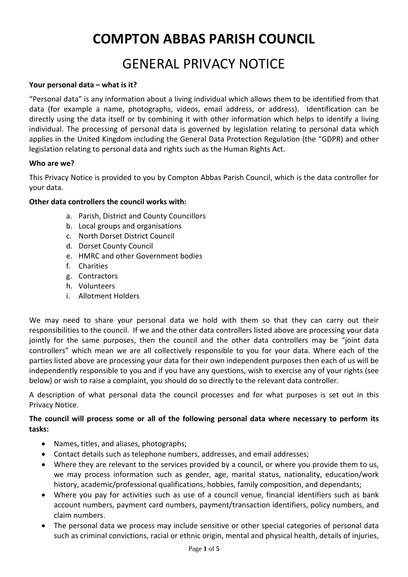# **COMPTON ABBAS PARISH COUNCIL**

# GENERAL PRIVACY NOTICE

#### **Your personal data – what is it?**

"Personal data" is any information about a living individual which allows them to be identified from that data (for example a name, photographs, videos, email address, or address). Identification can be directly using the data itself or by combining it with other information which helps to identify a living individual. The processing of personal data is governed by legislation relating to personal data which applies in the United Kingdom including the General Data Protection Regulation (the "GDPR) and other legislation relating to personal data and rights such as the Human Rights Act.

#### **Who are we?**

This Privacy Notice is provided to you by Compton Abbas Parish Council, which is the data controller for your data.

#### **Other data controllers the council works with:**

- a. Parish, District and County Councillors
- b. Local groups and organisations
- c. North Dorset District Council
- d. Dorset County Council
- e. HMRC and other Government bodies
- f. Charities
- g. Contractors
- h. Volunteers
- i. Allotment Holders

We may need to share your personal data we hold with them so that they can carry out their responsibilities to the council. If we and the other data controllers listed above are processing your data jointly for the same purposes, then the council and the other data controllers may be "joint data controllers" which mean we are all collectively responsible to you for your data. Where each of the parties listed above are processing your data for their own independent purposes then each of us will be independently responsible to you and if you have any questions, wish to exercise any of your rights (see below) or wish to raise a complaint, you should do so directly to the relevant data controller.

A description of what personal data the council processes and for what purposes is set out in this Privacy Notice.

## **The council will process some or all of the following personal data where necessary to perform its tasks:**

- Names, titles, and aliases, photographs;
- Contact details such as telephone numbers, addresses, and email addresses;
- Where they are relevant to the services provided by a council, or where you provide them to us, we may process information such as gender, age, marital status, nationality, education/work history, academic/professional qualifications, hobbies, family composition, and dependants;
- Where you pay for activities such as use of a council venue, financial identifiers such as bank account numbers, payment card numbers, payment/transaction identifiers, policy numbers, and claim numbers.
- The personal data we process may include sensitive or other special categories of personal data such as criminal convictions, racial or ethnic origin, mental and physical health, details of injuries,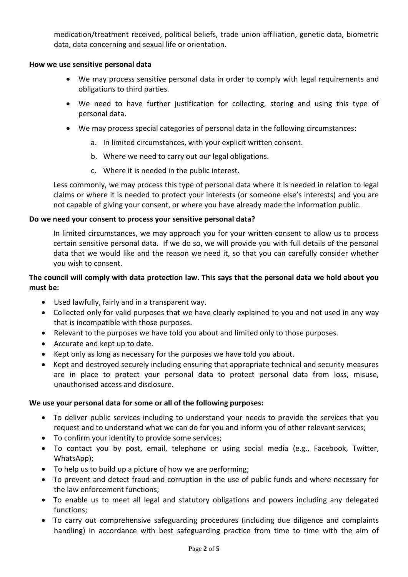medication/treatment received, political beliefs, trade union affiliation, genetic data, biometric data, data concerning and sexual life or orientation.

#### **How we use sensitive personal data**

- We may process sensitive personal data in order to comply with legal requirements and obligations to third parties.
- We need to have further justification for collecting, storing and using this type of personal data.
- We may process special categories of personal data in the following circumstances:
	- a. In limited circumstances, with your explicit written consent.
	- b. Where we need to carry out our legal obligations.
	- c. Where it is needed in the public interest.

Less commonly, we may process this type of personal data where it is needed in relation to legal claims or where it is needed to protect your interests (or someone else's interests) and you are not capable of giving your consent, or where you have already made the information public.

#### **Do we need your consent to process your sensitive personal data?**

In limited circumstances, we may approach you for your written consent to allow us to process certain sensitive personal data. If we do so, we will provide you with full details of the personal data that we would like and the reason we need it, so that you can carefully consider whether you wish to consent.

# **The council will comply with data protection law. This says that the personal data we hold about you must be:**

- Used lawfully, fairly and in a transparent way.
- Collected only for valid purposes that we have clearly explained to you and not used in any way that is incompatible with those purposes.
- Relevant to the purposes we have told you about and limited only to those purposes.
- Accurate and kept up to date.
- Kept only as long as necessary for the purposes we have told you about.
- Kept and destroyed securely including ensuring that appropriate technical and security measures are in place to protect your personal data to protect personal data from loss, misuse, unauthorised access and disclosure.

#### **We use your personal data for some or all of the following purposes:**

- To deliver public services including to understand your needs to provide the services that you request and to understand what we can do for you and inform you of other relevant services;
- To confirm your identity to provide some services;
- To contact you by post, email, telephone or using social media (e.g., Facebook, Twitter, WhatsApp);
- To help us to build up a picture of how we are performing;
- To prevent and detect fraud and corruption in the use of public funds and where necessary for the law enforcement functions;
- To enable us to meet all legal and statutory obligations and powers including any delegated functions;
- To carry out comprehensive safeguarding procedures (including due diligence and complaints handling) in accordance with best safeguarding practice from time to time with the aim of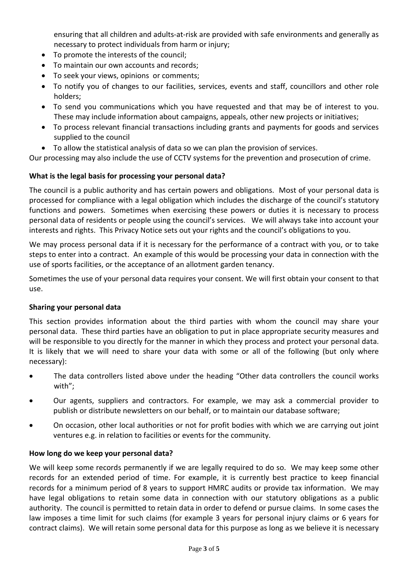ensuring that all children and adults-at-risk are provided with safe environments and generally as necessary to protect individuals from harm or injury;

- To promote the interests of the council;
- To maintain our own accounts and records;
- To seek your views, opinions or comments;
- To notify you of changes to our facilities, services, events and staff, councillors and other role holders;
- To send you communications which you have requested and that may be of interest to you. These may include information about campaigns, appeals, other new projects or initiatives;
- To process relevant financial transactions including grants and payments for goods and services supplied to the council
- To allow the statistical analysis of data so we can plan the provision of services.

Our processing may also include the use of CCTV systems for the prevention and prosecution of crime.

# **What is the legal basis for processing your personal data?**

The council is a public authority and has certain powers and obligations. Most of your personal data is processed for compliance with a legal obligation which includes the discharge of the council's statutory functions and powers. Sometimes when exercising these powers or duties it is necessary to process personal data of residents or people using the council's services. We will always take into account your interests and rights. This Privacy Notice sets out your rights and the council's obligations to you.

We may process personal data if it is necessary for the performance of a contract with you, or to take steps to enter into a contract. An example of this would be processing your data in connection with the use of sports facilities, or the acceptance of an allotment garden tenancy.

Sometimes the use of your personal data requires your consent. We will first obtain your consent to that use.

#### **Sharing your personal data**

This section provides information about the third parties with whom the council may share your personal data. These third parties have an obligation to put in place appropriate security measures and will be responsible to you directly for the manner in which they process and protect your personal data. It is likely that we will need to share your data with some or all of the following (but only where necessary):

- The data controllers listed above under the heading "Other data controllers the council works with";
- Our agents, suppliers and contractors. For example, we may ask a commercial provider to publish or distribute newsletters on our behalf, or to maintain our database software;
- On occasion, other local authorities or not for profit bodies with which we are carrying out joint ventures e.g. in relation to facilities or events for the community.

#### **How long do we keep your personal data?**

We will keep some records permanently if we are legally required to do so. We may keep some other records for an extended period of time. For example, it is currently best practice to keep financial records for a minimum period of 8 years to support HMRC audits or provide tax information. We may have legal obligations to retain some data in connection with our statutory obligations as a public authority. The council is permitted to retain data in order to defend or pursue claims. In some cases the law imposes a time limit for such claims (for example 3 years for personal injury claims or 6 years for contract claims). We will retain some personal data for this purpose as long as we believe it is necessary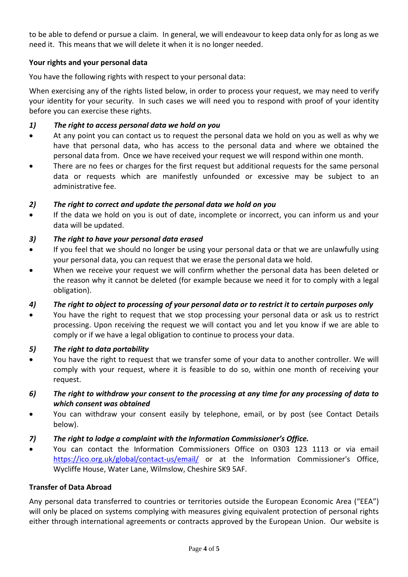to be able to defend or pursue a claim. In general, we will endeavour to keep data only for as long as we need it. This means that we will delete it when it is no longer needed.

# **Your rights and your personal data**

You have the following rights with respect to your personal data:

When exercising any of the rights listed below, in order to process your request, we may need to verify your identity for your security. In such cases we will need you to respond with proof of your identity before you can exercise these rights.

#### *1) The right to access personal data we hold on you*

- At any point you can contact us to request the personal data we hold on you as well as why we have that personal data, who has access to the personal data and where we obtained the personal data from. Once we have received your request we will respond within one month.
- There are no fees or charges for the first request but additional requests for the same personal data or requests which are manifestly unfounded or excessive may be subject to an administrative fee.

## *2) The right to correct and update the personal data we hold on you*

If the data we hold on you is out of date, incomplete or incorrect, you can inform us and your data will be updated.

## *3) The right to have your personal data erased*

- If you feel that we should no longer be using your personal data or that we are unlawfully using your personal data, you can request that we erase the personal data we hold.
- When we receive your request we will confirm whether the personal data has been deleted or the reason why it cannot be deleted (for example because we need it for to comply with a legal obligation).

#### *4) The right to object to processing of your personal data or to restrict it to certain purposes only*

• You have the right to request that we stop processing your personal data or ask us to restrict processing. Upon receiving the request we will contact you and let you know if we are able to comply or if we have a legal obligation to continue to process your data.

#### *5) The right to data portability*

- You have the right to request that we transfer some of your data to another controller. We will comply with your request, where it is feasible to do so, within one month of receiving your request.
- *6) The right to withdraw your consent to the processing at any time for any processing of data to which consent was obtained*
- You can withdraw your consent easily by telephone, email, or by post (see Contact Details below).
- *7) The right to lodge a complaint with the Information Commissioner's Office.*
- You can contact the Information Commissioners Office on 0303 123 1113 or via email <https://ico.org.uk/global/contact-us/email/> or at the Information Commissioner's Office, Wycliffe House, Water Lane, Wilmslow, Cheshire SK9 5AF.

#### **Transfer of Data Abroad**

Any personal data transferred to countries or territories outside the European Economic Area ("EEA") will only be placed on systems complying with measures giving equivalent protection of personal rights either through international agreements or contracts approved by the European Union. Our website is